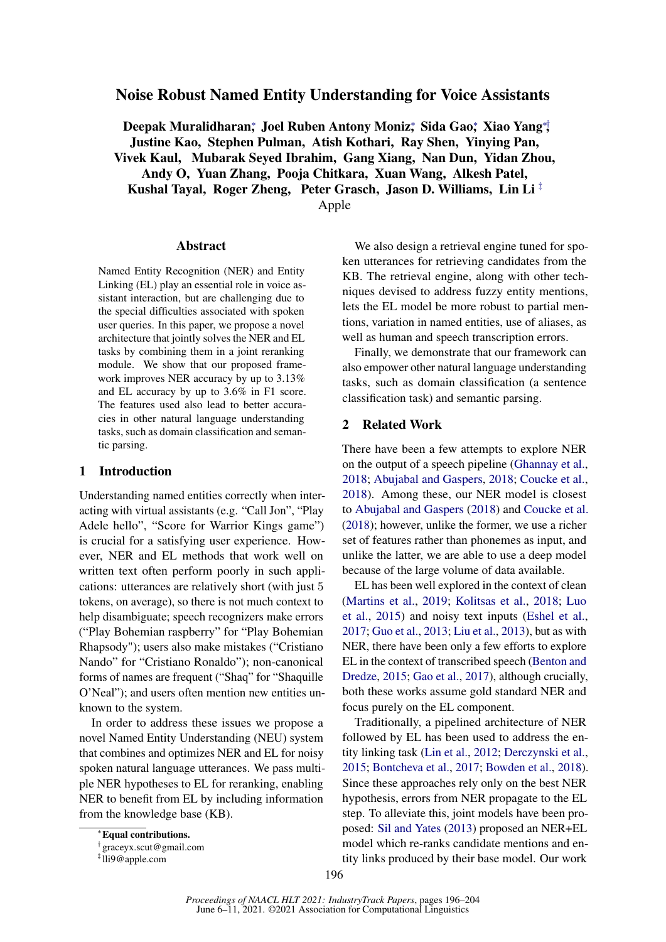# Noise Robust Named Entity Understanding for Voice Assistants

Deepak Muralidharan\*, Joel Ruben Antony Moniz\*, Sida Gao\*, Xiao Yang\*, Justine Kao, Stephen Pulman, Atish Kothari, Ray Shen, Yinying Pan, Vivek Kaul, Mubarak Seyed Ibrahim, Gang Xiang, Nan Dun, Yidan Zhou, Andy O, Yuan Zhang, Pooja Chitkara, Xuan Wang, Alkesh Patel, Kushal Tayal, Roger Zheng, Peter Grasch, Jason D. Williams, Lin Li<sup> $\ddagger$ </sup>

Apple

#### Abstract

Named Entity Recognition (NER) and Entity Linking (EL) play an essential role in voice assistant interaction, but are challenging due to the special difficulties associated with spoken user queries. In this paper, we propose a novel architecture that jointly solves the NER and EL tasks by combining them in a joint reranking module. We show that our proposed framework improves NER accuracy by up to 3.13% and EL accuracy by up to 3.6% in F1 score. The features used also lead to better accuracies in other natural language understanding tasks, such as domain classification and semantic parsing.

## 1 Introduction

Understanding named entities correctly when interacting with virtual assistants (e.g. "Call Jon", "Play Adele hello", "Score for Warrior Kings game") is crucial for a satisfying user experience. However, NER and EL methods that work well on written text often perform poorly in such applications: utterances are relatively short (with just 5 tokens, on average), so there is not much context to help disambiguate; speech recognizers make errors ("Play Bohemian raspberry" for "Play Bohemian Rhapsody"); users also make mistakes ("Cristiano Nando" for "Cristiano Ronaldo"); non-canonical forms of names are frequent ("Shaq" for "Shaquille O'Neal"); and users often mention new entities unknown to the system.

In order to address these issues we propose a novel Named Entity Understanding (NEU) system that combines and optimizes NER and EL for noisy spoken natural language utterances. We pass multiple NER hypotheses to EL for reranking, enabling NER to benefit from EL by including information from the knowledge base (KB).

Traditionally, a pipelined architecture of NER followed by EL has been used to address the entity linking task [\(Lin et al.,](#page-7-8) [2012;](#page-7-8) [Derczynski et al.,](#page-6-3) [2015;](#page-6-3) [Bontcheva et al.,](#page-6-4) [2017;](#page-6-4) [Bowden et al.,](#page-6-5) [2018\)](#page-6-5). Since these approaches rely only on the best NER hypothesis, errors from NER propagate to the EL step. To alleviate this, joint models have been proposed: [Sil and Yates](#page-7-9) [\(2013\)](#page-7-9) proposed an NER+EL model which re-ranks candidate mentions and entity links produced by their base model. Our work

ken utterances for retrieving candidates from the KB. The retrieval engine, along with other techniques devised to address fuzzy entity mentions, lets the EL model be more robust to partial mentions, variation in named entities, use of aliases, as well as human and speech transcription errors. Finally, we demonstrate that our framework can

We also design a retrieval engine tuned for spo-

also empower other natural language understanding tasks, such as domain classification (a sentence classification task) and semantic parsing.

## 2 Related Work

There have been a few attempts to explore NER on the output of a speech pipeline [\(Ghannay et al.,](#page-7-0) [2018;](#page-7-0) [Abujabal and Gaspers,](#page-6-0) [2018;](#page-6-0) [Coucke et al.,](#page-6-1) [2018\)](#page-6-1). Among these, our NER model is closest to [Abujabal and Gaspers](#page-6-0) [\(2018\)](#page-6-0) and [Coucke et al.](#page-6-1) [\(2018\)](#page-6-1); however, unlike the former, we use a richer set of features rather than phonemes as input, and unlike the latter, we are able to use a deep model because of the large volume of data available.

EL has been well explored in the context of clean [\(Martins et al.,](#page-7-1) [2019;](#page-7-1) [Kolitsas et al.,](#page-7-2) [2018;](#page-7-2) [Luo](#page-7-3) [et al.,](#page-7-3) [2015\)](#page-7-3) and noisy text inputs [\(Eshel et al.,](#page-7-4) [2017;](#page-7-4) [Guo et al.,](#page-7-5) [2013;](#page-7-5) [Liu et al.,](#page-7-6) [2013\)](#page-7-6), but as with NER, there have been only a few efforts to explore EL in the context of transcribed speech [\(Benton and](#page-6-2) [Dredze,](#page-6-2) [2015;](#page-6-2) [Gao et al.,](#page-7-7) [2017\)](#page-7-7), although crucially, both these works assume gold standard NER and focus purely on the EL component.

<sup>∗</sup>Equal contributions.

<sup>†</sup> graceyx.scut@gmail.com

<sup>‡</sup> lli9@apple.com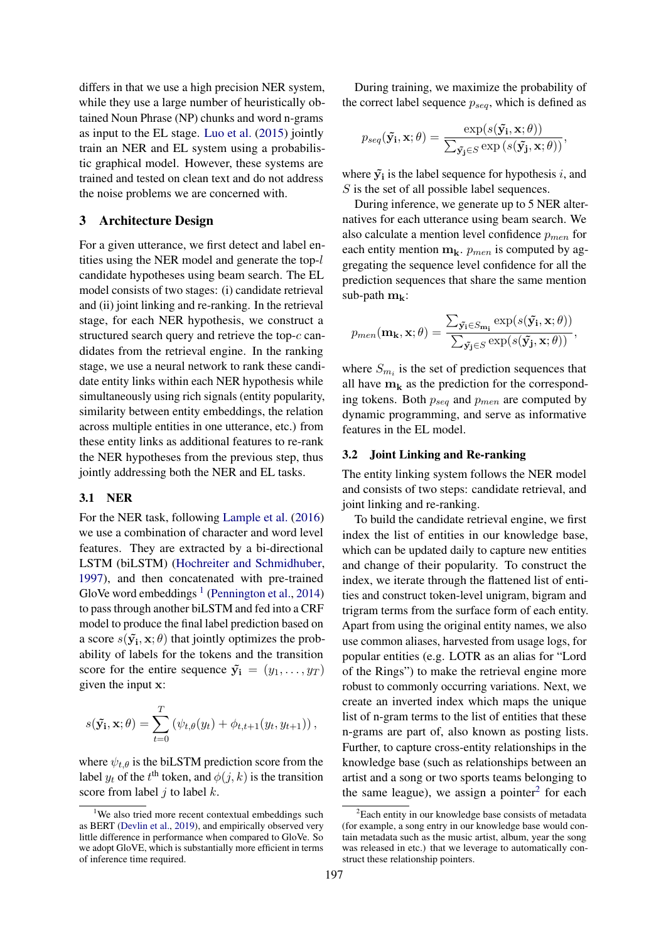differs in that we use a high precision NER system, while they use a large number of heuristically obtained Noun Phrase (NP) chunks and word n-grams as input to the EL stage. [Luo et al.](#page-7-3) [\(2015\)](#page-7-3) jointly train an NER and EL system using a probabilistic graphical model. However, these systems are trained and tested on clean text and do not address the noise problems we are concerned with.

## 3 Architecture Design

For a given utterance, we first detect and label entities using the NER model and generate the top-l candidate hypotheses using beam search. The EL model consists of two stages: (i) candidate retrieval and (ii) joint linking and re-ranking. In the retrieval stage, for each NER hypothesis, we construct a structured search query and retrieve the top-c candidates from the retrieval engine. In the ranking stage, we use a neural network to rank these candidate entity links within each NER hypothesis while simultaneously using rich signals (entity popularity, similarity between entity embeddings, the relation across multiple entities in one utterance, etc.) from these entity links as additional features to re-rank the NER hypotheses from the previous step, thus jointly addressing both the NER and EL tasks.

### <span id="page-1-2"></span>3.1 NER

For the NER task, following [Lample et al.](#page-7-10) [\(2016\)](#page-7-10) we use a combination of character and word level features. They are extracted by a bi-directional LSTM (biLSTM) [\(Hochreiter and Schmidhuber,](#page-7-11) [1997\)](#page-7-11), and then concatenated with pre-trained GloVe word embeddings  $<sup>1</sup>$  $<sup>1</sup>$  $<sup>1</sup>$  [\(Pennington et al.,](#page-7-12) [2014\)](#page-7-12)</sup> to pass through another biLSTM and fed into a CRF model to produce the final label prediction based on a score  $s(\tilde{y}_i, x; \theta)$  that jointly optimizes the probability of labels for the tokens and the transition score for the entire sequence  $\tilde{y}_i = (y_1, \dots, y_T)$ given the input x:

$$
s(\tilde{\mathbf{y_i}}, \mathbf{x}; \theta) = \sum_{t=0}^{T} (\psi_{t,\theta}(y_t) + \phi_{t,t+1}(y_t, y_{t+1})),
$$

where  $\psi_{t,\theta}$  is the biLSTM prediction score from the label  $y_t$  of the  $t^{\text{th}}$  token, and  $\phi(j, k)$  is the transition score from label  $i$  to label  $k$ .

During training, we maximize the probability of the correct label sequence  $p_{seq}$ , which is defined as

$$
p_{seq}(\tilde{\mathbf{y_i}}, \mathbf{x}; \theta) = \frac{\exp(s(\tilde{\mathbf{y_i}}, \mathbf{x}; \theta))}{\sum_{\tilde{\mathbf{y_j}} \in S} \exp(s(\tilde{\mathbf{y_j}}, \mathbf{x}; \theta))},
$$

where  $\tilde{y_i}$  is the label sequence for hypothesis i, and S is the set of all possible label sequences.

During inference, we generate up to 5 NER alternatives for each utterance using beam search. We also calculate a mention level confidence  $p_{men}$  for each entity mention  $m_k$ .  $p_{men}$  is computed by aggregating the sequence level confidence for all the prediction sequences that share the same mention sub-path  $m_k$ :

$$
p_{men}(\mathbf{m_k}, \mathbf{x}; \theta) = \frac{\sum_{\tilde{\mathbf{y_i}} \in S_{\mathbf{m_i}}} \exp(s(\tilde{\mathbf{y_i}}, \mathbf{x}; \theta))}{\sum_{\tilde{\mathbf{y_j}} \in S} \exp(s(\tilde{\mathbf{y_j}}, \mathbf{x}; \theta))},
$$

where  $S_{m_i}$  is the set of prediction sequences that all have  $m_k$  as the prediction for the corresponding tokens. Both  $p_{seq}$  and  $p_{men}$  are computed by dynamic programming, and serve as informative features in the EL model.

#### <span id="page-1-3"></span>3.2 Joint Linking and Re-ranking

The entity linking system follows the NER model and consists of two steps: candidate retrieval, and joint linking and re-ranking.

To build the candidate retrieval engine, we first index the list of entities in our knowledge base, which can be updated daily to capture new entities and change of their popularity. To construct the index, we iterate through the flattened list of entities and construct token-level unigram, bigram and trigram terms from the surface form of each entity. Apart from using the original entity names, we also use common aliases, harvested from usage logs, for popular entities (e.g. LOTR as an alias for "Lord of the Rings") to make the retrieval engine more robust to commonly occurring variations. Next, we create an inverted index which maps the unique list of n-gram terms to the list of entities that these n-grams are part of, also known as posting lists. Further, to capture cross-entity relationships in the knowledge base (such as relationships between an artist and a song or two sports teams belonging to the same league), we assign a pointer $2$  for each

<span id="page-1-0"></span><sup>&</sup>lt;sup>1</sup>We also tried more recent contextual embeddings such as BERT [\(Devlin et al.,](#page-7-13) [2019\)](#page-7-13), and empirically observed very little difference in performance when compared to GloVe. So we adopt GloVE, which is substantially more efficient in terms of inference time required.

<span id="page-1-1"></span> ${}^{2}$ Each entity in our knowledge base consists of metadata (for example, a song entry in our knowledge base would contain metadata such as the music artist, album, year the song was released in etc.) that we leverage to automatically construct these relationship pointers.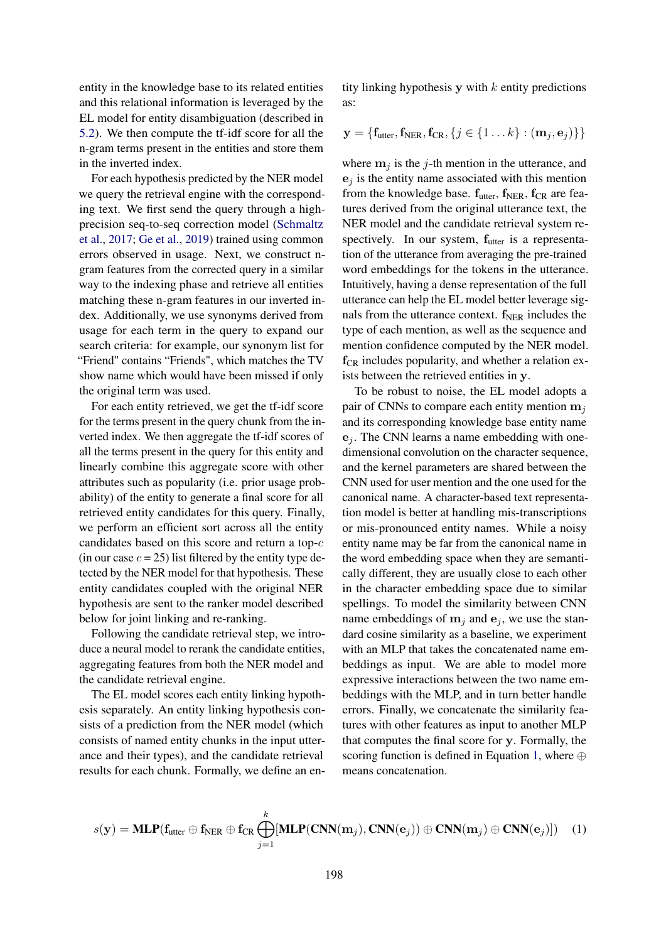entity in the knowledge base to its related entities and this relational information is leveraged by the EL model for entity disambiguation (described in [5.2\)](#page-5-0). We then compute the tf-idf score for all the n-gram terms present in the entities and store them in the inverted index.

For each hypothesis predicted by the NER model we query the retrieval engine with the corresponding text. We first send the query through a highprecision seq-to-seq correction model [\(Schmaltz](#page-7-14) [et al.,](#page-7-14) [2017;](#page-7-14) [Ge et al.,](#page-7-15) [2019\)](#page-7-15) trained using common errors observed in usage. Next, we construct ngram features from the corrected query in a similar way to the indexing phase and retrieve all entities matching these n-gram features in our inverted index. Additionally, we use synonyms derived from usage for each term in the query to expand our search criteria: for example, our synonym list for "Friend" contains "Friends", which matches the TV show name which would have been missed if only the original term was used.

For each entity retrieved, we get the tf-idf score for the terms present in the query chunk from the inverted index. We then aggregate the tf-idf scores of all the terms present in the query for this entity and linearly combine this aggregate score with other attributes such as popularity (i.e. prior usage probability) of the entity to generate a final score for all retrieved entity candidates for this query. Finally, we perform an efficient sort across all the entity candidates based on this score and return a top-c (in our case  $c = 25$ ) list filtered by the entity type detected by the NER model for that hypothesis. These entity candidates coupled with the original NER hypothesis are sent to the ranker model described below for joint linking and re-ranking.

Following the candidate retrieval step, we introduce a neural model to rerank the candidate entities, aggregating features from both the NER model and the candidate retrieval engine.

The EL model scores each entity linking hypothesis separately. An entity linking hypothesis consists of a prediction from the NER model (which consists of named entity chunks in the input utterance and their types), and the candidate retrieval results for each chunk. Formally, we define an entity linking hypothesis y with  $k$  entity predictions as:

$$
\mathbf{y} = \{ \mathbf{f}_{\text{utter}}, \mathbf{f}_{\text{NER}}, \mathbf{f}_{\text{CR}}, \{ j \in \{1 \dots k\} : (\mathbf{m}_j, \mathbf{e}_j) \} \}
$$

where  $m_j$  is the j-th mention in the utterance, and  $e_i$  is the entity name associated with this mention from the knowledge base.  $f_{\text{utter}}$ ,  $f_{\text{NER}}$ ,  $f_{\text{CR}}$  are features derived from the original utterance text, the NER model and the candidate retrieval system respectively. In our system,  $f_{\text{utter}}$  is a representation of the utterance from averaging the pre-trained word embeddings for the tokens in the utterance. Intuitively, having a dense representation of the full utterance can help the EL model better leverage signals from the utterance context.  $f_{NER}$  includes the type of each mention, as well as the sequence and mention confidence computed by the NER model.  $f_{CR}$  includes popularity, and whether a relation exists between the retrieved entities in y.

To be robust to noise, the EL model adopts a pair of CNNs to compare each entity mention  $m_i$ and its corresponding knowledge base entity name  $e_i$ . The CNN learns a name embedding with onedimensional convolution on the character sequence, and the kernel parameters are shared between the CNN used for user mention and the one used for the canonical name. A character-based text representation model is better at handling mis-transcriptions or mis-pronounced entity names. While a noisy entity name may be far from the canonical name in the word embedding space when they are semantically different, they are usually close to each other in the character embedding space due to similar spellings. To model the similarity between CNN name embeddings of  $m_i$  and  $e_i$ , we use the standard cosine similarity as a baseline, we experiment with an MLP that takes the concatenated name embeddings as input. We are able to model more expressive interactions between the two name embeddings with the MLP, and in turn better handle errors. Finally, we concatenate the similarity features with other features as input to another MLP that computes the final score for y. Formally, the scoring function is defined in Equation [1,](#page-2-0) where  $\oplus$ means concatenation.

<span id="page-2-0"></span>
$$
s(\mathbf{y}) = \textbf{MLP}(\mathbf{f}_{\text{utter}} \oplus \mathbf{f}_{\text{NER}} \oplus \mathbf{f}_{\text{CR}} \bigoplus_{j=1}^{k} [\textbf{MLP}(\textbf{CNN}(\mathbf{m}_j), \textbf{CNN}(\mathbf{e}_j)) \oplus \textbf{CNN}(\mathbf{m}_j) \oplus \textbf{CNN}(\mathbf{e}_j)] (1)
$$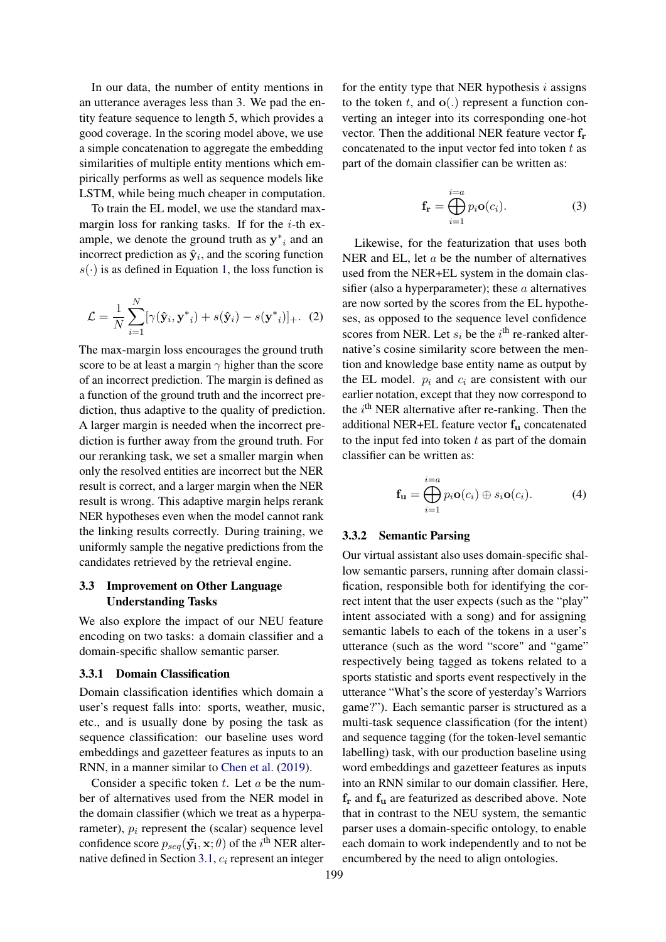In our data, the number of entity mentions in an utterance averages less than 3. We pad the entity feature sequence to length 5, which provides a good coverage. In the scoring model above, we use a simple concatenation to aggregate the embedding similarities of multiple entity mentions which empirically performs as well as sequence models like LSTM, while being much cheaper in computation.

To train the EL model, we use the standard maxmargin loss for ranking tasks. If for the  $i$ -th example, we denote the ground truth as  $y^*$ <sub>i</sub> and an incorrect prediction as  $\hat{\mathbf{y}}_i$ , and the scoring function  $s(\cdot)$  is as defined in Equation [1,](#page-2-0) the loss function is

$$
\mathcal{L} = \frac{1}{N} \sum_{i=1}^{N} [\gamma(\hat{\mathbf{y}}_i, \mathbf{y}^*_{i}) + s(\hat{\mathbf{y}}_i) - s(\mathbf{y}^*_{i})]_{+}.
$$
 (2)

The max-margin loss encourages the ground truth score to be at least a margin  $\gamma$  higher than the score of an incorrect prediction. The margin is defined as a function of the ground truth and the incorrect prediction, thus adaptive to the quality of prediction. A larger margin is needed when the incorrect prediction is further away from the ground truth. For our reranking task, we set a smaller margin when only the resolved entities are incorrect but the NER result is correct, and a larger margin when the NER result is wrong. This adaptive margin helps rerank NER hypotheses even when the model cannot rank the linking results correctly. During training, we uniformly sample the negative predictions from the candidates retrieved by the retrieval engine.

# <span id="page-3-0"></span>3.3 Improvement on Other Language Understanding Tasks

We also explore the impact of our NEU feature encoding on two tasks: a domain classifier and a domain-specific shallow semantic parser.

### 3.3.1 Domain Classification

Domain classification identifies which domain a user's request falls into: sports, weather, music, etc., and is usually done by posing the task as sequence classification: our baseline uses word embeddings and gazetteer features as inputs to an RNN, in a manner similar to [Chen et al.](#page-6-6) [\(2019\)](#page-6-6).

Consider a specific token  $t$ . Let  $a$  be the number of alternatives used from the NER model in the domain classifier (which we treat as a hyperparameter),  $p_i$  represent the (scalar) sequence level confidence score  $p_{seq}(\tilde{y}_i, \mathbf{x}; \theta)$  of the  $i^{\text{th}}$  NER alter-native defined in Section [3.1,](#page-1-2)  $c_i$  represent an integer

for the entity type that NER hypothesis  $i$  assigns to the token t, and  $o(.)$  represent a function converting an integer into its corresponding one-hot vector. Then the additional NER feature vector f<sup>r</sup> concatenated to the input vector fed into token  $t$  as part of the domain classifier can be written as:

$$
\mathbf{f}_{\mathbf{r}} = \bigoplus_{i=1}^{i=a} p_i \mathbf{o}(c_i).
$$
 (3)

Likewise, for the featurization that uses both NER and EL, let a be the number of alternatives used from the NER+EL system in the domain classifier (also a hyperparameter); these  $a$  alternatives are now sorted by the scores from the EL hypotheses, as opposed to the sequence level confidence scores from NER. Let  $s_i$  be the  $i^{\text{th}}$  re-ranked alternative's cosine similarity score between the mention and knowledge base entity name as output by the EL model.  $p_i$  and  $c_i$  are consistent with our earlier notation, except that they now correspond to the  $i<sup>th</sup> NER$  alternative after re-ranking. Then the additional NER+EL feature vector f<sup>u</sup> concatenated to the input fed into token  $t$  as part of the domain classifier can be written as:

$$
\mathbf{f}_{\mathbf{u}} = \bigoplus_{i=1}^{i=a} p_i \mathbf{o}(c_i) \oplus s_i \mathbf{o}(c_i).
$$
 (4)

#### 3.3.2 Semantic Parsing

Our virtual assistant also uses domain-specific shallow semantic parsers, running after domain classification, responsible both for identifying the correct intent that the user expects (such as the "play" intent associated with a song) and for assigning semantic labels to each of the tokens in a user's utterance (such as the word "score" and "game" respectively being tagged as tokens related to a sports statistic and sports event respectively in the utterance "What's the score of yesterday's Warriors game?"). Each semantic parser is structured as a multi-task sequence classification (for the intent) and sequence tagging (for the token-level semantic labelling) task, with our production baseline using word embeddings and gazetteer features as inputs into an RNN similar to our domain classifier. Here,  $f_r$  and  $f_u$  are featurized as described above. Note that in contrast to the NEU system, the semantic parser uses a domain-specific ontology, to enable each domain to work independently and to not be encumbered by the need to align ontologies.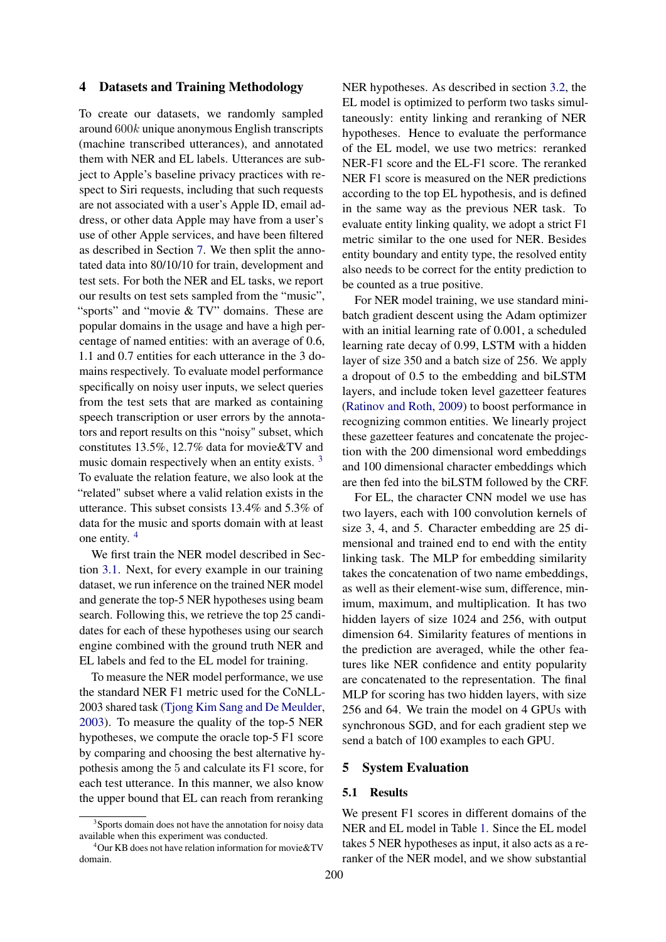## 4 Datasets and Training Methodology

To create our datasets, we randomly sampled around 600k unique anonymous English transcripts (machine transcribed utterances), and annotated them with NER and EL labels. Utterances are subject to Apple's baseline privacy practices with respect to Siri requests, including that such requests are not associated with a user's Apple ID, email address, or other data Apple may have from a user's use of other Apple services, and have been filtered as described in Section [7.](#page-6-7) We then split the annotated data into 80/10/10 for train, development and test sets. For both the NER and EL tasks, we report our results on test sets sampled from the "music", "sports" and "movie & TV" domains. These are popular domains in the usage and have a high percentage of named entities: with an average of 0.6, 1.1 and 0.7 entities for each utterance in the 3 domains respectively. To evaluate model performance specifically on noisy user inputs, we select queries from the test sets that are marked as containing speech transcription or user errors by the annotators and report results on this "noisy" subset, which constitutes 13.5%, 12.7% data for movie&TV and music domain respectively when an entity exists. <sup>[3](#page-4-0)</sup> To evaluate the relation feature, we also look at the "related" subset where a valid relation exists in the utterance. This subset consists 13.4% and 5.3% of data for the music and sports domain with at least one entity. [4](#page-4-1)

We first train the NER model described in Section [3.1.](#page-1-2) Next, for every example in our training dataset, we run inference on the trained NER model and generate the top-5 NER hypotheses using beam search. Following this, we retrieve the top 25 candidates for each of these hypotheses using our search engine combined with the ground truth NER and EL labels and fed to the EL model for training.

To measure the NER model performance, we use the standard NER F1 metric used for the CoNLL-2003 shared task [\(Tjong Kim Sang and De Meulder,](#page-8-0) [2003\)](#page-8-0). To measure the quality of the top-5 NER hypotheses, we compute the oracle top-5 F1 score by comparing and choosing the best alternative hypothesis among the 5 and calculate its F1 score, for each test utterance. In this manner, we also know the upper bound that EL can reach from reranking

NER hypotheses. As described in section [3.2,](#page-1-3) the EL model is optimized to perform two tasks simultaneously: entity linking and reranking of NER hypotheses. Hence to evaluate the performance of the EL model, we use two metrics: reranked NER-F1 score and the EL-F1 score. The reranked NER F1 score is measured on the NER predictions according to the top EL hypothesis, and is defined in the same way as the previous NER task. To evaluate entity linking quality, we adopt a strict F1 metric similar to the one used for NER. Besides entity boundary and entity type, the resolved entity also needs to be correct for the entity prediction to be counted as a true positive.

For NER model training, we use standard minibatch gradient descent using the Adam optimizer with an initial learning rate of 0.001, a scheduled learning rate decay of 0.99, LSTM with a hidden layer of size 350 and a batch size of 256. We apply a dropout of 0.5 to the embedding and biLSTM layers, and include token level gazetteer features [\(Ratinov and Roth,](#page-7-16) [2009\)](#page-7-16) to boost performance in recognizing common entities. We linearly project these gazetteer features and concatenate the projection with the 200 dimensional word embeddings and 100 dimensional character embeddings which are then fed into the biLSTM followed by the CRF.

For EL, the character CNN model we use has two layers, each with 100 convolution kernels of size 3, 4, and 5. Character embedding are 25 dimensional and trained end to end with the entity linking task. The MLP for embedding similarity takes the concatenation of two name embeddings, as well as their element-wise sum, difference, minimum, maximum, and multiplication. It has two hidden layers of size 1024 and 256, with output dimension 64. Similarity features of mentions in the prediction are averaged, while the other features like NER confidence and entity popularity are concatenated to the representation. The final MLP for scoring has two hidden layers, with size 256 and 64. We train the model on 4 GPUs with synchronous SGD, and for each gradient step we send a batch of 100 examples to each GPU.

## 5 System Evaluation

### 5.1 Results

We present F1 scores in different domains of the NER and EL model in Table [1.](#page-5-1) Since the EL model takes 5 NER hypotheses as input, it also acts as a reranker of the NER model, and we show substantial

<span id="page-4-0"></span><sup>&</sup>lt;sup>3</sup>Sports domain does not have the annotation for noisy data available when this experiment was conducted.

<span id="page-4-1"></span> $4$ Our KB does not have relation information for movie  $&V$ domain.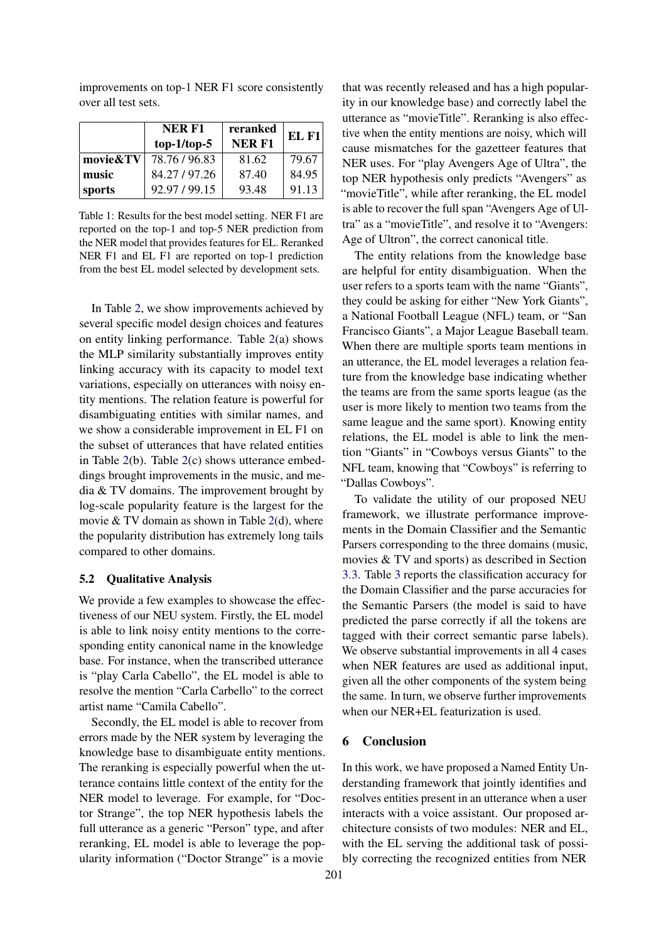<span id="page-5-1"></span>

|          | <b>NERF1</b><br>$top-1/top-5$ | reranked<br><b>NERF1</b> | EL F1 |
|----------|-------------------------------|--------------------------|-------|
| movie&TV | 78.76/96.83                   | 81.62                    | 79.67 |
| music    | 84.27/97.26                   | 87.40                    | 84.95 |
| 'sports  | 92.97/99.15                   | 93.48                    | 91.13 |

improvements on top-1 NER F1 score consistently over all test sets.

Table 1: Results for the best model setting. NER F1 are reported on the top-1 and top-5 NER prediction from the NER model that provides features for EL. Reranked NER F1 and EL F1 are reported on top-1 prediction from the best EL model selected by development sets.

In Table [2,](#page-6-8) we show improvements achieved by several specific model design choices and features on entity linking performance. Table [2\(](#page-6-8)a) shows the MLP similarity substantially improves entity linking accuracy with its capacity to model text variations, especially on utterances with noisy entity mentions. The relation feature is powerful for disambiguating entities with similar names, and we show a considerable improvement in EL F1 on the subset of utterances that have related entities in Table [2\(](#page-6-8)b). Table [2\(](#page-6-8)c) shows utterance embeddings brought improvements in the music, and media & TV domains. The improvement brought by log-scale popularity feature is the largest for the movie  $& TV$  domain as shown in Table [2\(](#page-6-8)d), where the popularity distribution has extremely long tails compared to other domains.

#### <span id="page-5-0"></span>5.2 Qualitative Analysis

We provide a few examples to showcase the effectiveness of our NEU system. Firstly, the EL model is able to link noisy entity mentions to the corresponding entity canonical name in the knowledge base. For instance, when the transcribed utterance is "play Carla Cabello", the EL model is able to resolve the mention "Carla Carbello" to the correct artist name "Camila Cabello".

Secondly, the EL model is able to recover from errors made by the NER system by leveraging the knowledge base to disambiguate entity mentions. The reranking is especially powerful when the utterance contains little context of the entity for the NER model to leverage. For example, for "Doctor Strange", the top NER hypothesis labels the full utterance as a generic "Person" type, and after reranking, EL model is able to leverage the popularity information ("Doctor Strange" is a movie

that was recently released and has a high popularity in our knowledge base) and correctly label the utterance as "movieTitle". Reranking is also effective when the entity mentions are noisy, which will cause mismatches for the gazetteer features that NER uses. For "play Avengers Age of Ultra", the top NER hypothesis only predicts "Avengers" as "movieTitle", while after reranking, the EL model is able to recover the full span "Avengers Age of Ultra" as a "movieTitle", and resolve it to "Avengers: Age of Ultron", the correct canonical title.

The entity relations from the knowledge base are helpful for entity disambiguation. When the user refers to a sports team with the name "Giants", they could be asking for either "New York Giants", a National Football League (NFL) team, or "San Francisco Giants", a Major League Baseball team. When there are multiple sports team mentions in an utterance, the EL model leverages a relation feature from the knowledge base indicating whether the teams are from the same sports league (as the user is more likely to mention two teams from the same league and the same sport). Knowing entity relations, the EL model is able to link the mention "Giants" in "Cowboys versus Giants" to the NFL team, knowing that "Cowboys" is referring to "Dallas Cowboys".

To validate the utility of our proposed NEU framework, we illustrate performance improvements in the Domain Classifier and the Semantic Parsers corresponding to the three domains (music, movies & TV and sports) as described in Section [3.3.](#page-3-0) Table [3](#page-6-9) reports the classification accuracy for the Domain Classifier and the parse accuracies for the Semantic Parsers (the model is said to have predicted the parse correctly if all the tokens are tagged with their correct semantic parse labels). We observe substantial improvements in all 4 cases when NER features are used as additional input, given all the other components of the system being the same. In turn, we observe further improvements when our NER+EL featurization is used.

# 6 Conclusion

In this work, we have proposed a Named Entity Understanding framework that jointly identifies and resolves entities present in an utterance when a user interacts with a voice assistant. Our proposed architecture consists of two modules: NER and EL, with the EL serving the additional task of possibly correcting the recognized entities from NER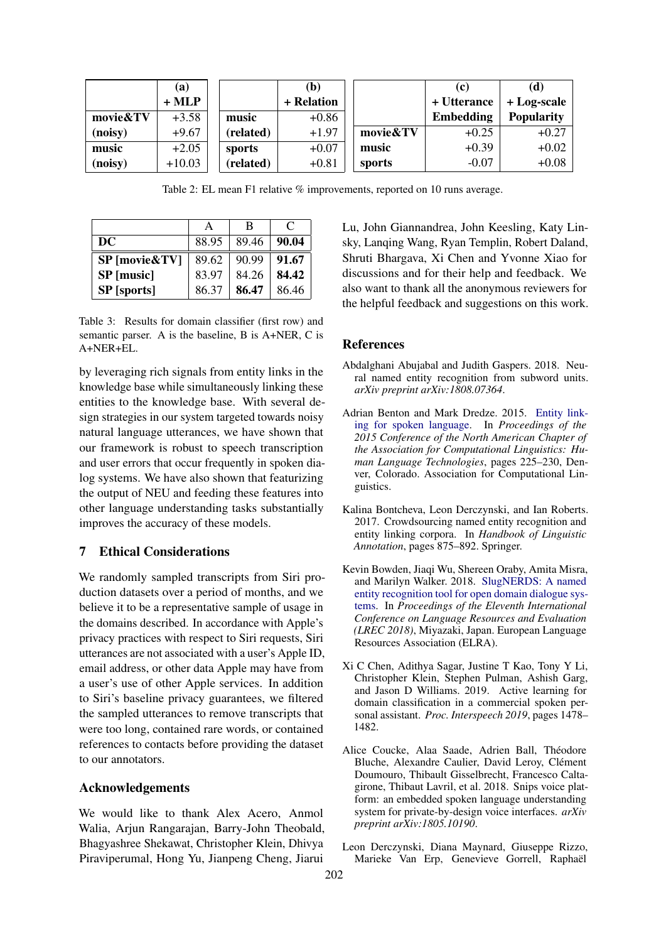<span id="page-6-8"></span>

|          | (a)      |           | (b)        |          | (c)         | (d)               |
|----------|----------|-----------|------------|----------|-------------|-------------------|
|          | $+ MLP$  |           | + Relation |          | + Utterance | $+ Log-scale$     |
| movie&TV | $+3.58$  | music     | $+0.86$    |          | Embedding   | <b>Popularity</b> |
| (noisy)  | $+9.67$  | (related) | $+1.97$    | movie&TV | $+0.25$     | $+0.27$           |
| music    | $+2.05$  | sports    | $+0.07$    | music    | $+0.39$     | $+0.02$           |
| (noisy)  | $+10.03$ | (related) | $+0.81$    | sports   | $-0.07$     | $+0.08$           |

Table 2: EL mean F1 relative % improvements, reported on 10 runs average.

<span id="page-6-9"></span>

|                      |       | В     | $\mathcal{C}$ |
|----------------------|-------|-------|---------------|
| DC                   | 88.95 | 89.46 | 90.04         |
| <b>SP</b> [movie&TV] | 89.62 | 90.99 | 91.67         |
| SP [music]           | 83.97 | 84.26 | 84.42         |
| <b>SP</b> [sports]   | 86.37 | 86.47 | 86.46         |

Table 3: Results for domain classifier (first row) and semantic parser. A is the baseline, B is A+NER, C is A+NER+EL.

by leveraging rich signals from entity links in the knowledge base while simultaneously linking these entities to the knowledge base. With several design strategies in our system targeted towards noisy natural language utterances, we have shown that our framework is robust to speech transcription and user errors that occur frequently in spoken dialog systems. We have also shown that featurizing the output of NEU and feeding these features into other language understanding tasks substantially improves the accuracy of these models.

# <span id="page-6-7"></span>7 Ethical Considerations

We randomly sampled transcripts from Siri production datasets over a period of months, and we believe it to be a representative sample of usage in the domains described. In accordance with Apple's privacy practices with respect to Siri requests, Siri utterances are not associated with a user's Apple ID, email address, or other data Apple may have from a user's use of other Apple services. In addition to Siri's baseline privacy guarantees, we filtered the sampled utterances to remove transcripts that were too long, contained rare words, or contained references to contacts before providing the dataset to our annotators.

## Acknowledgements

We would like to thank Alex Acero, Anmol Walia, Arjun Rangarajan, Barry-John Theobald, Bhagyashree Shekawat, Christopher Klein, Dhivya Piraviperumal, Hong Yu, Jianpeng Cheng, Jiarui

Lu, John Giannandrea, John Keesling, Katy Linsky, Lanqing Wang, Ryan Templin, Robert Daland, Shruti Bhargava, Xi Chen and Yvonne Xiao for discussions and for their help and feedback. We also want to thank all the anonymous reviewers for the helpful feedback and suggestions on this work.

### References

- <span id="page-6-0"></span>Abdalghani Abujabal and Judith Gaspers. 2018. Neural named entity recognition from subword units. *arXiv preprint arXiv:1808.07364*.
- <span id="page-6-2"></span>Adrian Benton and Mark Dredze. 2015. [Entity link](https://doi.org/10.3115/v1/N15-1024)[ing for spoken language.](https://doi.org/10.3115/v1/N15-1024) In *Proceedings of the 2015 Conference of the North American Chapter of the Association for Computational Linguistics: Human Language Technologies*, pages 225–230, Denver, Colorado. Association for Computational Linguistics.
- <span id="page-6-4"></span>Kalina Bontcheva, Leon Derczynski, and Ian Roberts. 2017. Crowdsourcing named entity recognition and entity linking corpora. In *Handbook of Linguistic Annotation*, pages 875–892. Springer.
- <span id="page-6-5"></span>Kevin Bowden, Jiaqi Wu, Shereen Oraby, Amita Misra, and Marilyn Walker. 2018. [SlugNERDS: A named](https://www.aclweb.org/anthology/L18-1707) [entity recognition tool for open domain dialogue sys](https://www.aclweb.org/anthology/L18-1707)[tems.](https://www.aclweb.org/anthology/L18-1707) In *Proceedings of the Eleventh International Conference on Language Resources and Evaluation (LREC 2018)*, Miyazaki, Japan. European Language Resources Association (ELRA).
- <span id="page-6-6"></span>Xi C Chen, Adithya Sagar, Justine T Kao, Tony Y Li, Christopher Klein, Stephen Pulman, Ashish Garg, and Jason D Williams. 2019. Active learning for domain classification in a commercial spoken personal assistant. *Proc. Interspeech 2019*, pages 1478– 1482.
- <span id="page-6-1"></span>Alice Coucke, Alaa Saade, Adrien Ball, Théodore Bluche, Alexandre Caulier, David Leroy, Clément Doumouro, Thibault Gisselbrecht, Francesco Caltagirone, Thibaut Lavril, et al. 2018. Snips voice platform: an embedded spoken language understanding system for private-by-design voice interfaces. *arXiv preprint arXiv:1805.10190*.
- <span id="page-6-3"></span>Leon Derczynski, Diana Maynard, Giuseppe Rizzo, Marieke Van Erp, Genevieve Gorrell, Raphaël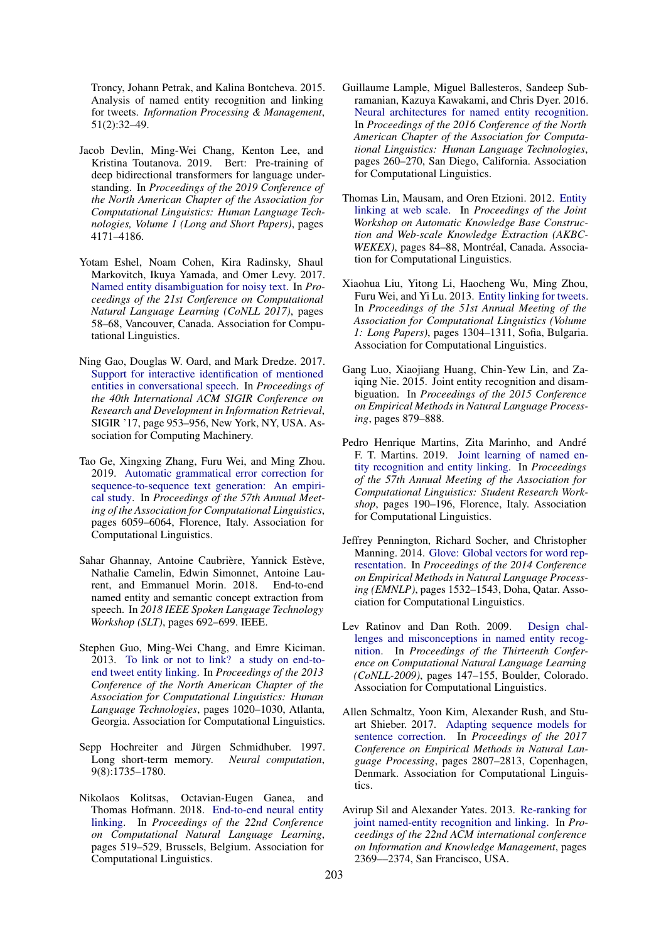Troncy, Johann Petrak, and Kalina Bontcheva. 2015. Analysis of named entity recognition and linking for tweets. *Information Processing & Management*, 51(2):32–49.

- <span id="page-7-13"></span>Jacob Devlin, Ming-Wei Chang, Kenton Lee, and Kristina Toutanova. 2019. Bert: Pre-training of deep bidirectional transformers for language understanding. In *Proceedings of the 2019 Conference of the North American Chapter of the Association for Computational Linguistics: Human Language Technologies, Volume 1 (Long and Short Papers)*, pages 4171–4186.
- <span id="page-7-4"></span>Yotam Eshel, Noam Cohen, Kira Radinsky, Shaul Markovitch, Ikuya Yamada, and Omer Levy. 2017. [Named entity disambiguation for noisy text.](https://doi.org/10.18653/v1/K17-1008) In *Proceedings of the 21st Conference on Computational Natural Language Learning (CoNLL 2017)*, pages 58–68, Vancouver, Canada. Association for Computational Linguistics.
- <span id="page-7-7"></span>Ning Gao, Douglas W. Oard, and Mark Dredze. 2017. [Support for interactive identification of mentioned](https://doi.org/10.1145/3077136.3080688) [entities in conversational speech.](https://doi.org/10.1145/3077136.3080688) In *Proceedings of the 40th International ACM SIGIR Conference on Research and Development in Information Retrieval*, SIGIR '17, page 953–956, New York, NY, USA. Association for Computing Machinery.
- <span id="page-7-15"></span>Tao Ge, Xingxing Zhang, Furu Wei, and Ming Zhou. 2019. [Automatic grammatical error correction for](https://doi.org/10.18653/v1/P19-1609) [sequence-to-sequence text generation: An empiri](https://doi.org/10.18653/v1/P19-1609)[cal study.](https://doi.org/10.18653/v1/P19-1609) In *Proceedings of the 57th Annual Meeting of the Association for Computational Linguistics*, pages 6059–6064, Florence, Italy. Association for Computational Linguistics.
- <span id="page-7-0"></span>Sahar Ghannay, Antoine Caubrière, Yannick Estève, Nathalie Camelin, Edwin Simonnet, Antoine Laurent, and Emmanuel Morin. 2018. End-to-end named entity and semantic concept extraction from speech. In *2018 IEEE Spoken Language Technology Workshop (SLT)*, pages 692–699. IEEE.
- <span id="page-7-5"></span>Stephen Guo, Ming-Wei Chang, and Emre Kiciman. 2013. [To link or not to link? a study on end-to](https://www.aclweb.org/anthology/N13-1122)[end tweet entity linking.](https://www.aclweb.org/anthology/N13-1122) In *Proceedings of the 2013 Conference of the North American Chapter of the Association for Computational Linguistics: Human Language Technologies*, pages 1020–1030, Atlanta, Georgia. Association for Computational Linguistics.
- <span id="page-7-11"></span>Sepp Hochreiter and Jürgen Schmidhuber. 1997. Long short-term memory. *Neural computation*, 9(8):1735–1780.
- <span id="page-7-2"></span>Nikolaos Kolitsas, Octavian-Eugen Ganea, and Thomas Hofmann. 2018. [End-to-end neural entity](https://doi.org/10.18653/v1/K18-1050) [linking.](https://doi.org/10.18653/v1/K18-1050) In *Proceedings of the 22nd Conference on Computational Natural Language Learning*, pages 519–529, Brussels, Belgium. Association for Computational Linguistics.
- <span id="page-7-10"></span>Guillaume Lample, Miguel Ballesteros, Sandeep Subramanian, Kazuya Kawakami, and Chris Dyer. 2016. [Neural architectures for named entity recognition.](https://doi.org/10.18653/v1/N16-1030) In *Proceedings of the 2016 Conference of the North American Chapter of the Association for Computational Linguistics: Human Language Technologies*, pages 260–270, San Diego, California. Association for Computational Linguistics.
- <span id="page-7-8"></span>Thomas Lin, Mausam, and Oren Etzioni. 2012. [Entity](https://www.aclweb.org/anthology/W12-3016) [linking at web scale.](https://www.aclweb.org/anthology/W12-3016) In *Proceedings of the Joint Workshop on Automatic Knowledge Base Construction and Web-scale Knowledge Extraction (AKBC-WEKEX)*, pages 84–88, Montréal, Canada. Association for Computational Linguistics.
- <span id="page-7-6"></span>Xiaohua Liu, Yitong Li, Haocheng Wu, Ming Zhou, Furu Wei, and Yi Lu. 2013. [Entity linking for tweets.](https://www.aclweb.org/anthology/P13-1128) In *Proceedings of the 51st Annual Meeting of the Association for Computational Linguistics (Volume 1: Long Papers)*, pages 1304–1311, Sofia, Bulgaria. Association for Computational Linguistics.
- <span id="page-7-3"></span>Gang Luo, Xiaojiang Huang, Chin-Yew Lin, and Zaiqing Nie. 2015. Joint entity recognition and disambiguation. In *Proceedings of the 2015 Conference on Empirical Methods in Natural Language Processing*, pages 879–888.
- <span id="page-7-1"></span>Pedro Henrique Martins, Zita Marinho, and André F. T. Martins. 2019. [Joint learning of named en](https://doi.org/10.18653/v1/P19-2026)[tity recognition and entity linking.](https://doi.org/10.18653/v1/P19-2026) In *Proceedings of the 57th Annual Meeting of the Association for Computational Linguistics: Student Research Workshop*, pages 190–196, Florence, Italy. Association for Computational Linguistics.
- <span id="page-7-12"></span>Jeffrey Pennington, Richard Socher, and Christopher Manning. 2014. [Glove: Global vectors for word rep](https://doi.org/10.3115/v1/D14-1162)[resentation.](https://doi.org/10.3115/v1/D14-1162) In *Proceedings of the 2014 Conference on Empirical Methods in Natural Language Processing (EMNLP)*, pages 1532–1543, Doha, Qatar. Association for Computational Linguistics.
- <span id="page-7-16"></span>Lev Ratinov and Dan Roth. 2009. [Design chal](https://www.aclweb.org/anthology/W09-1119)[lenges and misconceptions in named entity recog](https://www.aclweb.org/anthology/W09-1119)[nition.](https://www.aclweb.org/anthology/W09-1119) In *Proceedings of the Thirteenth Conference on Computational Natural Language Learning (CoNLL-2009)*, pages 147–155, Boulder, Colorado. Association for Computational Linguistics.
- <span id="page-7-14"></span>Allen Schmaltz, Yoon Kim, Alexander Rush, and Stuart Shieber. 2017. [Adapting sequence models for](https://doi.org/10.18653/v1/D17-1298) [sentence correction.](https://doi.org/10.18653/v1/D17-1298) In *Proceedings of the 2017 Conference on Empirical Methods in Natural Language Processing*, pages 2807–2813, Copenhagen, Denmark. Association for Computational Linguistics.
- <span id="page-7-9"></span>Avirup Sil and Alexander Yates. 2013. [Re-ranking for](http://citeseerx.ist.psu.edu/viewdoc/download?doi=10.1.1.398.9086&rep=rep1&type=pdf) [joint named-entity recognition and linking.](http://citeseerx.ist.psu.edu/viewdoc/download?doi=10.1.1.398.9086&rep=rep1&type=pdf) In *Proceedings of the 22nd ACM international conference on Information and Knowledge Management*, pages 2369––2374, San Francisco, USA.